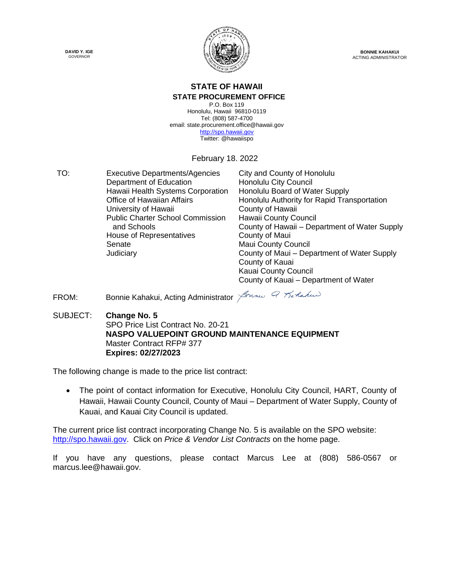



**BONNIE KAHAKUI** ACTING ADMINISTRATOR

### **STATE OF HAWAII**

#### **STATE PROCUREMENT OFFICE**

P.O. Box 119 Honolulu, Hawaii 96810-0119 Tel: (808) 587-4700 email: state.procurement.office@hawaii.gov [http://spo.hawaii.gov](http://spo.hawaii.gov/) Twitter: @hawaiispo

February 18. 2022

TO: Executive Departments/Agencies City and County of Honolulu Department of Education Honolulu City Council Hawaii Health Systems Corporation Honolulu Board of Water Supply University of Hawaii **County of Hawaii** Public Charter School Commission Hawaii County Council House of Representatives County of Maui Senate Maui County Council

Office of Hawaiian Affairs **Honolulu Authority for Rapid Transportation**  and Schools County of Hawaii – Department of Water Supply Judiciary County of Maui – Department of Water Supply County of Kauai Kauai County Council County of Kauai – Department of Water

- FROM: Bonnie Kahakui, Acting Administrator Sonne 9 Karlakus
- SUBJECT: **Change No. 5** SPO Price List Contract No. 20-21 **NASPO VALUEPOINT GROUND MAINTENANCE EQUIPMENT** Master Contract RFP# 377 **Expires: 02/27/2023**

The following change is made to the price list contract:

 The point of contact information for Executive, Honolulu City Council, HART, County of Hawaii, Hawaii County Council, County of Maui – Department of Water Supply, County of Kauai, and Kauai City Council is updated.

The current price list contract incorporating Change No. 5 is available on the SPO website: [http://spo.hawaii.gov.](http://spo.hawaii.gov/) Click on *Price & Vendor List Contracts* on the home page.

If you have any questions, please contact Marcus Lee at (808) 586-0567 or marcus.lee@hawaii.gov.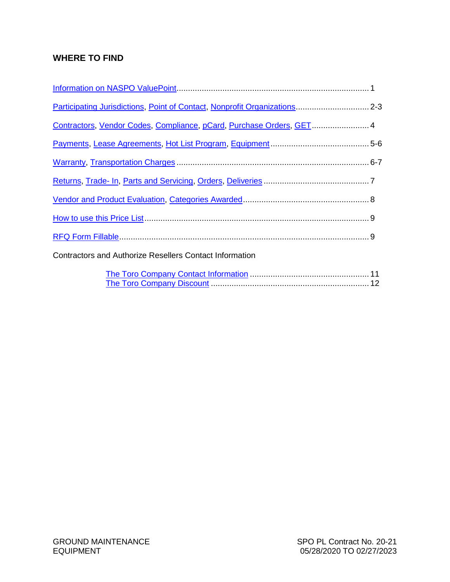### **WHERE TO FIND**

| Participating Jurisdictions, Point of Contact, Nonprofit Organizations 2-3 |  |
|----------------------------------------------------------------------------|--|
| Contractors, Vendor Codes, Compliance, pCard, Purchase Orders, GET 4       |  |
|                                                                            |  |
|                                                                            |  |
|                                                                            |  |
|                                                                            |  |
|                                                                            |  |
|                                                                            |  |
| <b>Contractors and Authorize Resellers Contact Information</b>             |  |
|                                                                            |  |

[The Toro Company Discount](#page-13-0) ..................................................................... 12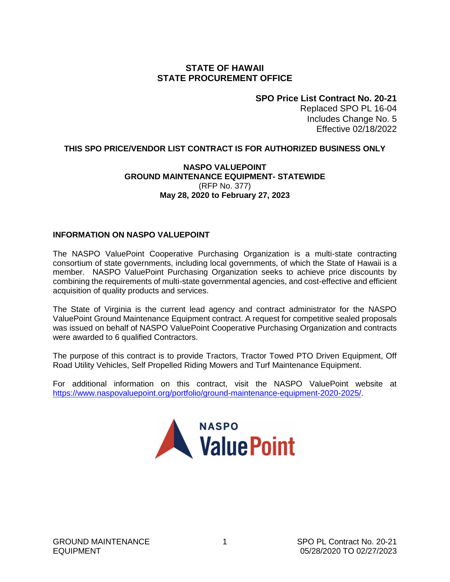#### **STATE OF HAWAII STATE PROCUREMENT OFFICE**

### **SPO Price List Contract No. 20-21**

Replaced SPO PL 16-04 Includes Change No. 5 Effective 02/18/2022

#### <span id="page-2-0"></span>**THIS SPO PRICE/VENDOR LIST CONTRACT IS FOR AUTHORIZED BUSINESS ONLY**

#### **NASPO VALUEPOINT GROUND MAINTENANCE EQUIPMENT- STATEWIDE** (RFP No. 377) **May 28, 2020 to February 27, 2023**

#### **INFORMATION ON NASPO VALUEPOINT**

The NASPO ValuePoint Cooperative Purchasing Organization is a multi-state contracting consortium of state governments, including local governments, of which the State of Hawaii is a member. NASPO ValuePoint Purchasing Organization seeks to achieve price discounts by combining the requirements of multi-state governmental agencies, and cost-effective and efficient acquisition of quality products and services.

The State of Virginia is the current lead agency and contract administrator for the NASPO ValuePoint Ground Maintenance Equipment contract. A request for competitive sealed proposals was issued on behalf of NASPO ValuePoint Cooperative Purchasing Organization and contracts were awarded to 6 qualified Contractors.

The purpose of this contract is to provide Tractors, Tractor Towed PTO Driven Equipment, Off Road Utility Vehicles, Self Propelled Riding Mowers and Turf Maintenance Equipment.

For additional information on this contract, visit the NASPO ValuePoint website at [https://www.naspovaluepoint.org/portfolio/ground-maintenance-equipment-2020-2025/.](https://www.naspovaluepoint.org/portfolio/ground-maintenance-equipment-2020-2025/)

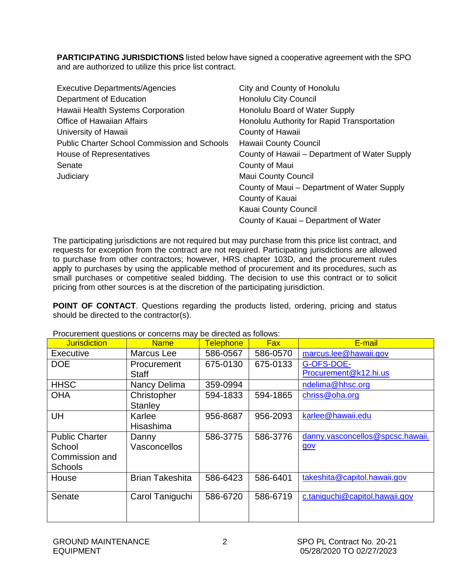<span id="page-3-0"></span>**PARTICIPATING JURISDICTIONS** listed below have signed a cooperative agreement with the SPO and are authorized to utilize this price list contract.

| <b>Executive Departments/Agencies</b>               | City and County of Honolulu                   |
|-----------------------------------------------------|-----------------------------------------------|
| Department of Education                             | <b>Honolulu City Council</b>                  |
| Hawaii Health Systems Corporation                   | Honolulu Board of Water Supply                |
| <b>Office of Hawaiian Affairs</b>                   | Honolulu Authority for Rapid Transportation   |
| University of Hawaii                                | County of Hawaii                              |
| <b>Public Charter School Commission and Schools</b> | Hawaii County Council                         |
| House of Representatives                            | County of Hawaii – Department of Water Supply |
| Senate                                              | County of Maui                                |
| Judiciary                                           | <b>Maui County Council</b>                    |
|                                                     | County of Maui - Department of Water Supply   |
|                                                     | County of Kauai                               |
|                                                     | Kauai County Council                          |
|                                                     | County of Kauai – Department of Water         |

The participating jurisdictions are not required but may purchase from this price list contract, and requests for exception from the contract are not required. Participating jurisdictions are allowed to purchase from other contractors; however, HRS chapter 103D, and the procurement rules apply to purchases by using the applicable method of procurement and its procedures, such as small purchases or competitive sealed bidding. The decision to use this contract or to solicit pricing from other sources is at the discretion of the participating jurisdiction.

**POINT OF CONTACT**. Questions regarding the products listed, ordering, pricing and status should be directed to the contractor(s).

| <b>Jurisdiction</b>   | <b>Name</b>            | <b>Telephone</b> | <b>Fax</b> | E-mail                           |
|-----------------------|------------------------|------------------|------------|----------------------------------|
| Executive             | Marcus Lee             | 586-0567         | 586-0570   | marcus.lee@hawaii.gov            |
| <b>DOE</b>            | Procurement            | 675-0130         | 675-0133   | G-OFS-DOE-                       |
|                       | <b>Staff</b>           |                  |            | Procurement@k12.hi.us            |
| <b>HHSC</b>           | Nancy Delima           | 359-0994         |            | ndelima@hhsc.org                 |
| <b>OHA</b>            | Christopher            | 594-1833         | 594-1865   | chriss@oha.org                   |
|                       | Stanley                |                  |            |                                  |
| UH                    | Karlee                 | 956-8687         | 956-2093   | karlee@hawaii.edu                |
|                       | Hisashima              |                  |            |                                  |
| <b>Public Charter</b> | Danny                  | 586-3775         | 586-3776   | danny.vasconcellos@spcsc.hawaii. |
| School                | <b>Vasconcellos</b>    |                  |            | gov                              |
| Commission and        |                        |                  |            |                                  |
| <b>Schools</b>        |                        |                  |            |                                  |
| House                 | <b>Brian Takeshita</b> | 586-6423         | 586-6401   | takeshita@capitol.hawaii.gov     |
|                       |                        |                  |            |                                  |
| Senate                | Carol Taniguchi        | 586-6720         | 586-6719   | c.taniguchi@capitol.hawaii.gov   |
|                       |                        |                  |            |                                  |
|                       |                        |                  |            |                                  |

Procurement questions or concerns may be directed as follows: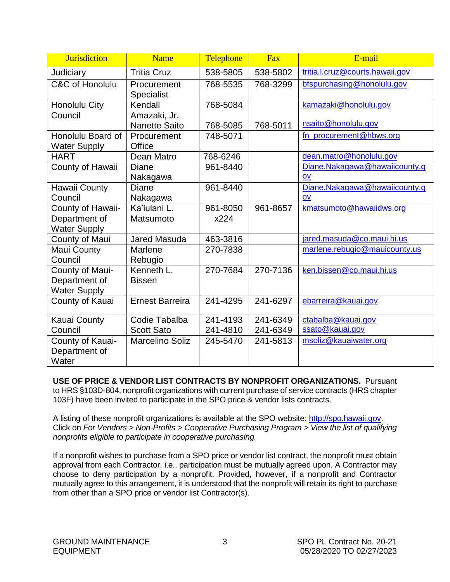<span id="page-4-0"></span>

| <b>Jurisdiction</b>                                     | <b>Name</b>                      | Telephone | Fax      | E-mail                                                    |
|---------------------------------------------------------|----------------------------------|-----------|----------|-----------------------------------------------------------|
| Judiciary                                               | <b>Tritia Cruz</b>               | 538-5805  | 538-5802 | tritia.l.cruz@courts.hawaii.gov                           |
| C&C of Honolulu                                         | Procurement<br><b>Specialist</b> | 768-5535  | 768-3299 | bfspurchasing@honolulu.gov                                |
| Honolulu City<br>Council                                | Kendall<br>Amazaki, Jr.          | 768-5084  |          | kamazaki@honolulu.gov                                     |
|                                                         | <b>Nanette Saito</b>             | 768-5085  | 768-5011 | nsaito@honolulu.gov                                       |
| Honolulu Board of<br><b>Water Supply</b>                | Procurement<br>Office            | 748-5071  |          | fn_procurement@hbws.org                                   |
| <b>HART</b>                                             | Dean Matro                       | 768-6246  |          | dean.matro@honolulu.gov                                   |
| County of Hawaii                                        | <b>Diane</b><br>Nakagawa         | 961-8440  |          | Diane.Nakagawa@hawaiicounty.g<br>$\overline{\mathsf{QV}}$ |
| Hawaii County                                           | Diane                            | 961-8440  |          | Diane.Nakagawa@hawaiicounty.g                             |
| Council                                                 | Nakagawa                         |           |          | QV                                                        |
| County of Hawaii-                                       | Ka'iulani L.                     | 961-8050  | 961-8657 | kmatsumoto@hawaiidws.org                                  |
| Department of<br><b>Water Supply</b>                    | Matsumoto                        | x224      |          |                                                           |
| County of Maui                                          | <b>Jared Masuda</b>              | 463-3816  |          | jared.masuda@co.maui.hi.us                                |
| Maui County<br>Council                                  | Marlene<br>Rebugio               | 270-7838  |          | marlene.rebugio@mauicounty.us                             |
| County of Maui-<br>Department of<br><b>Water Supply</b> | Kenneth L.<br><b>Bissen</b>      | 270-7684  | 270-7136 | ken.bissen@co.maui.hi.us                                  |
| County of Kauai                                         | <b>Ernest Barreira</b>           | 241-4295  | 241-6297 | ebarreira@kauai.gov                                       |
| <b>Kauai County</b>                                     | Codie Tabalba                    | 241-4193  | 241-6349 | ctabalba@kauai.gov                                        |
| Council                                                 | <b>Scott Sato</b>                | 241-4810  | 241-6349 | ssato@kauai.gov                                           |
| County of Kauai-<br>Department of<br>Water              | <b>Marcelino Soliz</b>           | 245-5470  | 241-5813 | msoliz@kauaiwater.org                                     |

**USE OF PRICE & VENDOR LIST CONTRACTS BY NONPROFIT ORGANIZATIONS.** Pursuant to HRS §103D-804, nonprofit organizations with current purchase of service contracts (HRS chapter 103F) have been invited to participate in the SPO price & vendor lists contracts.

A listing of these nonprofit organizations is available at the SPO website: [http://spo.hawaii.gov.](http://spo.hawaii.gov/) Click on *For Vendors > Non-Profits > Cooperative Purchasing Program > View the list of qualifying nonprofits eligible to participate in cooperative purchasing.*

If a nonprofit wishes to purchase from a SPO price or vendor list contract, the nonprofit must obtain approval from each Contractor, i.e., participation must be mutually agreed upon. A Contractor may choose to deny participation by a nonprofit. Provided, however, if a nonprofit and Contractor mutually agree to this arrangement, it is understood that the nonprofit will retain its right to purchase from other than a SPO price or vendor list Contractor(s).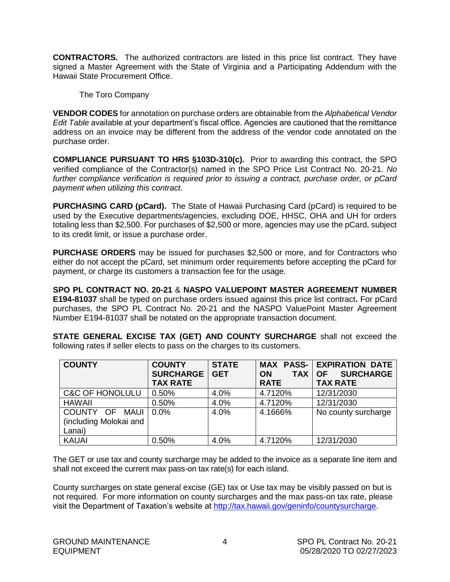<span id="page-5-0"></span>**CONTRACTORS.** The authorized contractors are listed in this price list contract. They have signed a Master Agreement with the State of Virginia and a Participating Addendum with the Hawaii State Procurement Office.

The Toro Company

**VENDOR CODES** for annotation on purchase orders are obtainable from the *Alphabetical Vendor Edit Table* available at your department's fiscal office. Agencies are cautioned that the remittance address on an invoice may be different from the address of the vendor code annotated on the purchase order.

**COMPLIANCE PURSUANT TO HRS §103D-310(c).** Prior to awarding this contract, the SPO verified compliance of the Contractor(s) named in the SPO Price List Contract No. 20-21. *No further compliance verification is required prior to issuing a contract, purchase order, or pCard payment when utilizing this contract.*

**PURCHASING CARD (pCard).** The State of Hawaii Purchasing Card (pCard) is required to be used by the Executive departments/agencies, excluding DOE, HHSC, OHA and UH for orders totaling less than \$2,500. For purchases of \$2,500 or more, agencies may use the pCard, subject to its credit limit, or issue a purchase order.

**PURCHASE ORDERS** may be issued for purchases \$2,500 or more, and for Contractors who either do not accept the pCard, set minimum order requirements before accepting the pCard for payment, or charge its customers a transaction fee for the usage.

**SPO PL CONTRACT NO. 20-21** & **NASPO VALUEPOINT MASTER AGREEMENT NUMBER E194-81037** shall be typed on purchase orders issued against this price list contract**.** For pCard purchases, the SPO PL Contract No. 20-21 and the NASPO ValuePoint Master Agreement Number E194-81037 shall be notated on the appropriate transaction document.

**STATE GENERAL EXCISE TAX (GET) AND COUNTY SURCHARGE** shall not exceed the following rates if seller elects to pass on the charges to its customers.

| <b>COUNTY</b>              | <b>COUNTY</b><br><b>SURCHARGE</b><br><b>TAX RATE</b> | <b>STATE</b><br><b>GET</b> | <b>TAX</b><br><b>ON</b><br><b>RATE</b> | <b>MAX PASS- EXPIRATION DATE</b><br><b>SURCHARGE</b><br><b>OF</b><br><b>TAX RATE</b> |
|----------------------------|------------------------------------------------------|----------------------------|----------------------------------------|--------------------------------------------------------------------------------------|
| <b>C&amp;C OF HONOLULU</b> | 0.50%                                                | 4.0%                       | 4.7120%                                | 12/31/2030                                                                           |
| <b>HAWAII</b>              | 0.50%                                                | 4.0%                       | 4.7120%                                | 12/31/2030                                                                           |
| COUNTY OF MAUI             | $0.0\%$                                              | 4.0%                       | 4.1666%                                | No county surcharge                                                                  |
| (including Molokai and     |                                                      |                            |                                        |                                                                                      |
| Lanai)                     |                                                      |                            |                                        |                                                                                      |
| <b>KAUAI</b>               | 0.50%                                                | 4.0%                       | 4.7120%                                | 12/31/2030                                                                           |

The GET or use tax and county surcharge may be added to the invoice as a separate line item and shall not exceed the current max pass-on tax rate(s) for each island.

County surcharges on state general excise (GE) tax or Use tax may be visibly passed on but is not required. For more information on county surcharges and the max pass-on tax rate, please visit the Department of Taxation's website at [http://tax.hawaii.gov/geninfo/countysurcharge.](http://tax.hawaii.gov/geninfo/countysurcharge)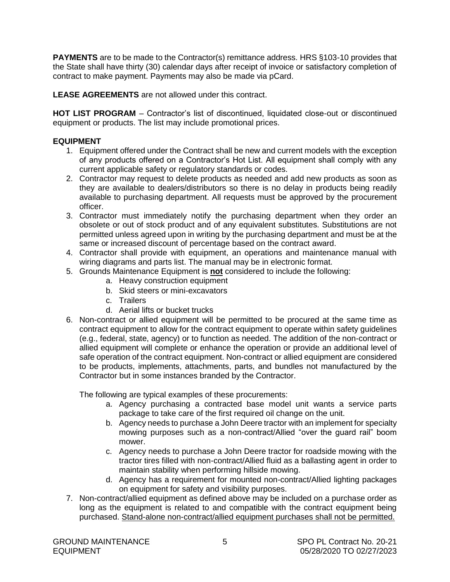<span id="page-6-0"></span>**PAYMENTS** are to be made to the Contractor(s) remittance address. HRS §103-10 provides that the State shall have thirty (30) calendar days after receipt of invoice or satisfactory completion of contract to make payment. Payments may also be made via pCard.

**LEASE AGREEMENTS** are not allowed under this contract.

HOT LIST PROGRAM – Contractor's list of discontinued, liquidated close-out or discontinued equipment or products. The list may include promotional prices.

### **EQUIPMENT**

- 1. Equipment offered under the Contract shall be new and current models with the exception of any products offered on a Contractor's Hot List. All equipment shall comply with any current applicable safety or regulatory standards or codes.
- 2. Contractor may request to delete products as needed and add new products as soon as they are available to dealers/distributors so there is no delay in products being readily available to purchasing department. All requests must be approved by the procurement officer.
- 3. Contractor must immediately notify the purchasing department when they order an obsolete or out of stock product and of any equivalent substitutes. Substitutions are not permitted unless agreed upon in writing by the purchasing department and must be at the same or increased discount of percentage based on the contract award.
- 4. Contractor shall provide with equipment, an operations and maintenance manual with wiring diagrams and parts list. The manual may be in electronic format.
- 5. Grounds Maintenance Equipment is **not** considered to include the following:
	- a. Heavy construction equipment
	- b. Skid steers or mini-excavators
	- c. Trailers
	- d. Aerial lifts or bucket trucks
- 6. Non-contract or allied equipment will be permitted to be procured at the same time as contract equipment to allow for the contract equipment to operate within safety guidelines (e.g., federal, state, agency) or to function as needed. The addition of the non-contract or allied equipment will complete or enhance the operation or provide an additional level of safe operation of the contract equipment. Non-contract or allied equipment are considered to be products, implements, attachments, parts, and bundles not manufactured by the Contractor but in some instances branded by the Contractor.

The following are typical examples of these procurements:

- a. Agency purchasing a contracted base model unit wants a service parts package to take care of the first required oil change on the unit.
- b. Agency needs to purchase a John Deere tractor with an implement for specialty mowing purposes such as a non-contract/Allied "over the guard rail" boom mower.
- c. Agency needs to purchase a John Deere tractor for roadside mowing with the tractor tires filled with non-contract/Allied fluid as a ballasting agent in order to maintain stability when performing hillside mowing.
- d. Agency has a requirement for mounted non-contract/Allied lighting packages on equipment for safety and visibility purposes.
- 7. Non-contract/allied equipment as defined above may be included on a purchase order as long as the equipment is related to and compatible with the contract equipment being purchased. Stand-alone non-contract/allied equipment purchases shall not be permitted.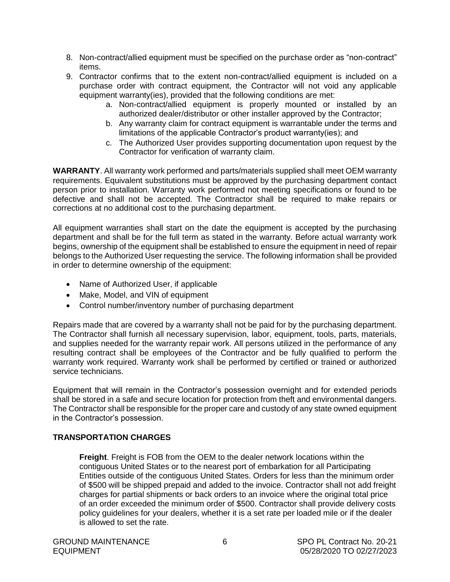- <span id="page-7-0"></span>8. Non-contract/allied equipment must be specified on the purchase order as "non-contract" items.
- 9. Contractor confirms that to the extent non-contract/allied equipment is included on a purchase order with contract equipment, the Contractor will not void any applicable equipment warranty(ies), provided that the following conditions are met:
	- a. Non-contract/allied equipment is properly mounted or installed by an authorized dealer/distributor or other installer approved by the Contractor;
	- b. Any warranty claim for contract equipment is warrantable under the terms and limitations of the applicable Contractor's product warranty(ies); and
	- c. The Authorized User provides supporting documentation upon request by the Contractor for verification of warranty claim.

**WARRANTY**. All warranty work performed and parts/materials supplied shall meet OEM warranty requirements. Equivalent substitutions must be approved by the purchasing department contact person prior to installation. Warranty work performed not meeting specifications or found to be defective and shall not be accepted. The Contractor shall be required to make repairs or corrections at no additional cost to the purchasing department.

All equipment warranties shall start on the date the equipment is accepted by the purchasing department and shall be for the full term as stated in the warranty. Before actual warranty work begins, ownership of the equipment shall be established to ensure the equipment in need of repair belongs to the Authorized User requesting the service. The following information shall be provided in order to determine ownership of the equipment:

- Name of Authorized User, if applicable
- Make, Model, and VIN of equipment
- Control number/inventory number of purchasing department

Repairs made that are covered by a warranty shall not be paid for by the purchasing department. The Contractor shall furnish all necessary supervision, labor, equipment, tools, parts, materials, and supplies needed for the warranty repair work. All persons utilized in the performance of any resulting contract shall be employees of the Contractor and be fully qualified to perform the warranty work required. Warranty work shall be performed by certified or trained or authorized service technicians.

Equipment that will remain in the Contractor's possession overnight and for extended periods shall be stored in a safe and secure location for protection from theft and environmental dangers. The Contractor shall be responsible for the proper care and custody of any state owned equipment in the Contractor's possession.

### **TRANSPORTATION CHARGES**

**Freight**. Freight is FOB from the OEM to the dealer network locations within the contiguous United States or to the nearest port of embarkation for all Participating Entities outside of the contiguous United States. Orders for less than the minimum order of \$500 will be shipped prepaid and added to the invoice. Contractor shall not add freight charges for partial shipments or back orders to an invoice where the original total price of an order exceeded the minimum order of \$500. Contractor shall provide delivery costs policy guidelines for your dealers, whether it is a set rate per loaded mile or if the dealer is allowed to set the rate.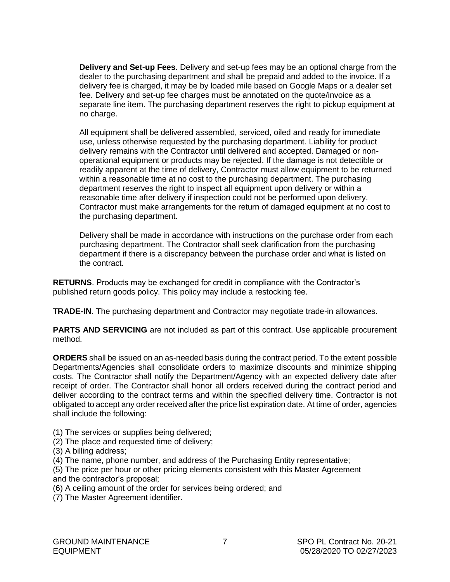<span id="page-8-0"></span>**Delivery and Set-up Fees**. Delivery and set-up fees may be an optional charge from the dealer to the purchasing department and shall be prepaid and added to the invoice. If a delivery fee is charged, it may be by loaded mile based on Google Maps or a dealer set fee. Delivery and set-up fee charges must be annotated on the quote/invoice as a separate line item. The purchasing department reserves the right to pickup equipment at no charge.

All equipment shall be delivered assembled, serviced, oiled and ready for immediate use, unless otherwise requested by the purchasing department. Liability for product delivery remains with the Contractor until delivered and accepted. Damaged or nonoperational equipment or products may be rejected. If the damage is not detectible or readily apparent at the time of delivery, Contractor must allow equipment to be returned within a reasonable time at no cost to the purchasing department. The purchasing department reserves the right to inspect all equipment upon delivery or within a reasonable time after delivery if inspection could not be performed upon delivery. Contractor must make arrangements for the return of damaged equipment at no cost to the purchasing department.

Delivery shall be made in accordance with instructions on the purchase order from each purchasing department. The Contractor shall seek clarification from the purchasing department if there is a discrepancy between the purchase order and what is listed on the contract.

**RETURNS**. Products may be exchanged for credit in compliance with the Contractor's published return goods policy. This policy may include a restocking fee.

**TRADE-IN**. The purchasing department and Contractor may negotiate trade-in allowances.

**PARTS AND SERVICING** are not included as part of this contract. Use applicable procurement method.

**ORDERS** shall be issued on an as-needed basis during the contract period. To the extent possible Departments/Agencies shall consolidate orders to maximize discounts and minimize shipping costs. The Contractor shall notify the Department/Agency with an expected delivery date after receipt of order. The Contractor shall honor all orders received during the contract period and deliver according to the contract terms and within the specified delivery time. Contractor is not obligated to accept any order received after the price list expiration date. At time of order, agencies shall include the following:

- (1) The services or supplies being delivered;
- (2) The place and requested time of delivery;
- (3) A billing address;
- (4) The name, phone number, and address of the Purchasing Entity representative;
- (5) The price per hour or other pricing elements consistent with this Master Agreement and the contractor's proposal;
- (6) A ceiling amount of the order for services being ordered; and
- (7) The Master Agreement identifier.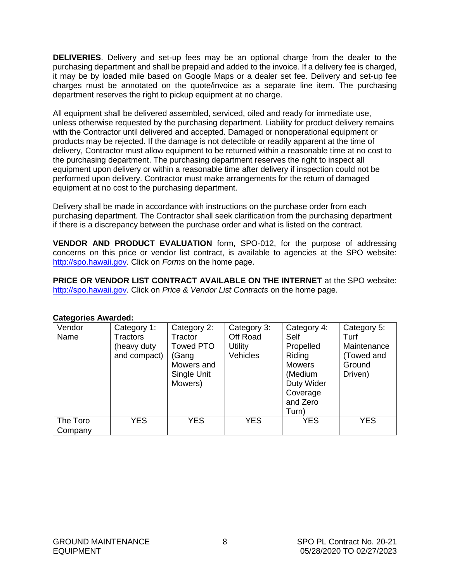<span id="page-9-0"></span>**DELIVERIES**. Delivery and set-up fees may be an optional charge from the dealer to the purchasing department and shall be prepaid and added to the invoice. If a delivery fee is charged, it may be by loaded mile based on Google Maps or a dealer set fee. Delivery and set-up fee charges must be annotated on the quote/invoice as a separate line item. The purchasing department reserves the right to pickup equipment at no charge.

All equipment shall be delivered assembled, serviced, oiled and ready for immediate use, unless otherwise requested by the purchasing department. Liability for product delivery remains with the Contractor until delivered and accepted. Damaged or nonoperational equipment or products may be rejected. If the damage is not detectible or readily apparent at the time of delivery, Contractor must allow equipment to be returned within a reasonable time at no cost to the purchasing department. The purchasing department reserves the right to inspect all equipment upon delivery or within a reasonable time after delivery if inspection could not be performed upon delivery. Contractor must make arrangements for the return of damaged equipment at no cost to the purchasing department.

Delivery shall be made in accordance with instructions on the purchase order from each purchasing department. The Contractor shall seek clarification from the purchasing department if there is a discrepancy between the purchase order and what is listed on the contract.

**VENDOR AND PRODUCT EVALUATION** form, SPO-012, for the purpose of addressing concerns on this price or vendor list contract, is available to agencies at the SPO website: [http://spo.hawaii.gov.](http://spo.hawaii.gov/) Click on *Forms* on the home page.

**PRICE OR VENDOR LIST CONTRACT AVAILABLE ON THE INTERNET** at the SPO website: [http://spo.hawaii.gov.](http://spo.hawaii.gov/) Click on *Price & Vendor List Contracts* on the home page.

| oalogonico Awardou. |                                               |                                            |                                           |                                  |                                    |
|---------------------|-----------------------------------------------|--------------------------------------------|-------------------------------------------|----------------------------------|------------------------------------|
| Vendor<br>Name      | Category 1:<br><b>Tractors</b><br>(heavy duty | Category 2:<br>Tractor<br><b>Towed PTO</b> | Category 3:<br>Off Road<br><b>Utility</b> | Category 4:<br>Self<br>Propelled | Category 5:<br>Turf<br>Maintenance |
|                     | and compact)                                  | (Gang                                      | <b>Vehicles</b>                           | Riding                           | (Towed and                         |
|                     |                                               | Mowers and                                 |                                           | <b>Mowers</b>                    | Ground                             |
|                     |                                               | Single Unit                                |                                           | (Medium                          | Driven)                            |
|                     |                                               | Mowers)                                    |                                           | Duty Wider                       |                                    |
|                     |                                               |                                            |                                           | Coverage                         |                                    |
|                     |                                               |                                            |                                           | and Zero                         |                                    |
|                     |                                               |                                            |                                           | Turn)                            |                                    |
| The Toro<br>Company | <b>YES</b>                                    | <b>YES</b>                                 | <b>YES</b>                                | <b>YES</b>                       | <b>YES</b>                         |

#### **Categories Awarded:**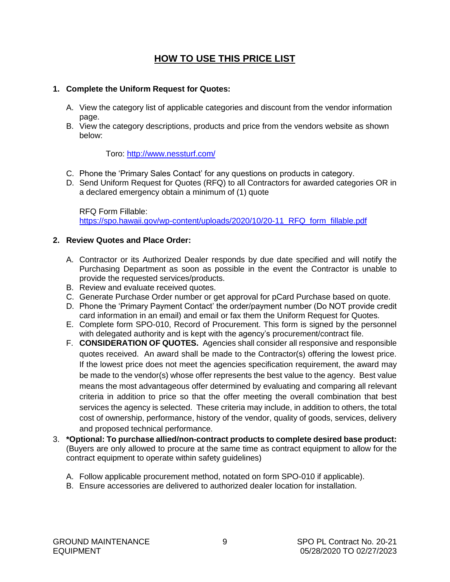### **HOW TO USE THIS PRICE LIST**

#### <span id="page-10-0"></span>**1. Complete the Uniform Request for Quotes:**

- A. View the category list of applicable categories and discount from the vendor information page.
- B. View the category descriptions, products and price from the vendors website as shown below:

#### Toro:<http://www.nessturf.com/>

- C. Phone the 'Primary Sales Contact' for any questions on products in category.
- D. Send Uniform Request for Quotes (RFQ) to all Contractors for awarded categories OR in a declared emergency obtain a minimum of (1) quote

RFQ Form Fillable: [https://spo.hawaii.gov/wp-content/uploads/2020/10/20-11\\_RFQ\\_form\\_fillable.pdf](https://spo.hawaii.gov/wp-content/uploads/2020/10/20-11_RFQ_form_fillable.pdf)

#### **2. Review Quotes and Place Order:**

- A. Contractor or its Authorized Dealer responds by due date specified and will notify the Purchasing Department as soon as possible in the event the Contractor is unable to provide the requested services/products.
- B. Review and evaluate received quotes.
- C. Generate Purchase Order number or get approval for pCard Purchase based on quote.
- D. Phone the 'Primary Payment Contact' the order/payment number (Do NOT provide credit card information in an email) and email or fax them the Uniform Request for Quotes.
- E. Complete form SPO-010, Record of Procurement. This form is signed by the personnel with delegated authority and is kept with the agency's procurement/contract file.
- F. **CONSIDERATION OF QUOTES.** Agencies shall consider all responsive and responsible quotes received. An award shall be made to the Contractor(s) offering the lowest price. If the lowest price does not meet the agencies specification requirement, the award may be made to the vendor(s) whose offer represents the best value to the agency. Best value means the most advantageous offer determined by evaluating and comparing all relevant criteria in addition to price so that the offer meeting the overall combination that best services the agency is selected. These criteria may include, in addition to others, the total cost of ownership, performance, history of the vendor, quality of goods, services, delivery and proposed technical performance.
- 3. **\*Optional: To purchase allied/non-contract products to complete desired base product:**  (Buyers are only allowed to procure at the same time as contract equipment to allow for the contract equipment to operate within safety guidelines)
	- A. Follow applicable procurement method, notated on form SPO-010 if applicable).
	- B. Ensure accessories are delivered to authorized dealer location for installation.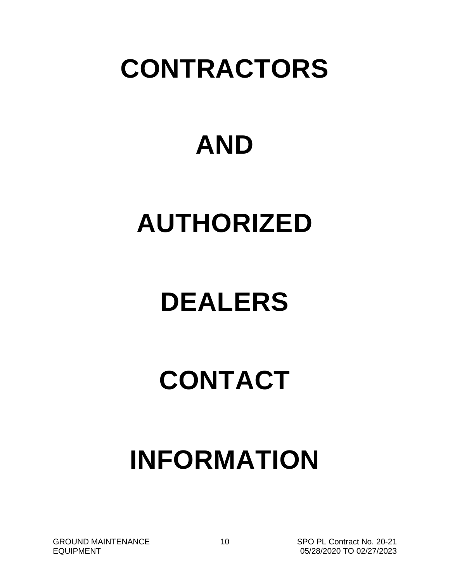## **CONTRACTORS**

# **AND**

## **AUTHORIZED**

# **DEALERS**

# **CONTACT**

# **INFORMATION**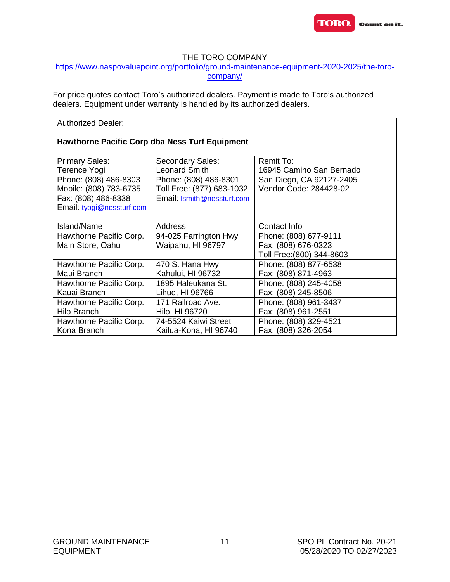

#### THE TORO COMPANY

#### <span id="page-12-0"></span>[https://www.naspovaluepoint.org/portfolio/ground-maintenance-equipment-2020-2025/the-toro](https://www.naspovaluepoint.org/portfolio/ground-maintenance-equipment-2020-2025/the-toro-company/)[company/](https://www.naspovaluepoint.org/portfolio/ground-maintenance-equipment-2020-2025/the-toro-company/)

For price quotes contact Toro's authorized dealers. Payment is made to Toro's authorized dealers. Equipment under warranty is handled by its authorized dealers.

| <b>Authorized Dealer:</b>                                                                                                                    |                                                                                                                                     |                                                                                             |  |  |
|----------------------------------------------------------------------------------------------------------------------------------------------|-------------------------------------------------------------------------------------------------------------------------------------|---------------------------------------------------------------------------------------------|--|--|
|                                                                                                                                              | <b>Hawthorne Pacific Corp dba Ness Turf Equipment</b>                                                                               |                                                                                             |  |  |
| <b>Primary Sales:</b><br>Terence Yogi<br>Phone: (808) 486-8303<br>Mobile: (808) 783-6735<br>Fax: (808) 486-8338<br>Email: tyogi@nessturf.com | Secondary Sales:<br><b>Leonard Smith</b><br>Phone: (808) 486-8301<br>Toll Free: (877) 683-1032<br>Email: <b>Ismith@nessturf.com</b> | Remit To:<br>16945 Camino San Bernado<br>San Diego, CA 92127-2405<br>Vendor Code: 284428-02 |  |  |
| Island/Name                                                                                                                                  | Address                                                                                                                             | Contact Info                                                                                |  |  |
| Hawthorne Pacific Corp.<br>Main Store, Oahu                                                                                                  | 94-025 Farrington Hwy<br>Waipahu, HI 96797                                                                                          | Phone: (808) 677-9111<br>Fax: (808) 676-0323<br>Toll Free: (800) 344-8603                   |  |  |
| Hawthorne Pacific Corp.                                                                                                                      | 470 S. Hana Hwy                                                                                                                     | Phone: (808) 877-6538                                                                       |  |  |
| Maui Branch                                                                                                                                  | Kahului, HI 96732                                                                                                                   | Fax: (808) 871-4963                                                                         |  |  |
| Hawthorne Pacific Corp.                                                                                                                      | 1895 Haleukana St.                                                                                                                  | Phone: (808) 245-4058                                                                       |  |  |
| Kauai Branch                                                                                                                                 | Lihue, HI 96766                                                                                                                     | Fax: (808) 245-8506                                                                         |  |  |
| Hawthorne Pacific Corp.                                                                                                                      | 171 Railroad Ave.                                                                                                                   | Phone: (808) 961-3437                                                                       |  |  |
| <b>Hilo Branch</b>                                                                                                                           | Hilo, HI 96720                                                                                                                      | Fax: (808) 961-2551                                                                         |  |  |
| Hawthorne Pacific Corp.                                                                                                                      | 74-5524 Kaiwi Street                                                                                                                | Phone: (808) 329-4521                                                                       |  |  |
| Kona Branch                                                                                                                                  | Kailua-Kona, HI 96740                                                                                                               | Fax: (808) 326-2054                                                                         |  |  |